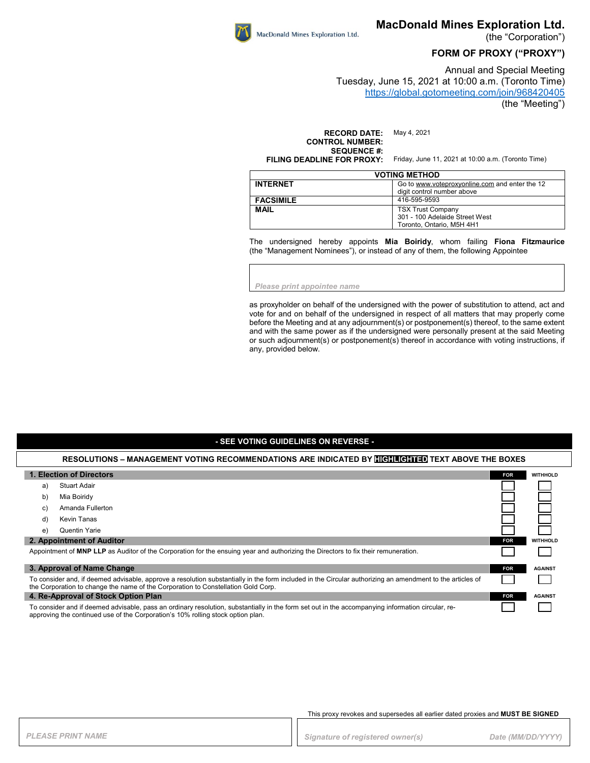

(the "Corporation")

## **FORM OF PROXY ("PROXY")**

Annual and Special Meeting Tuesday, June 15, 2021 at 10:00 a.m. (Toronto Time) <https://global.gotomeeting.com/join/968420405>

(the "Meeting")

**RECORD DATE:** May 4, 2021 **CONTROL NUMBER: SEQUENCE #:**<br>FILING DEADLINE FOR PROXY:

Friday, June 11, 2021 at 10:00 a.m. (Toronto Time)

| <b>VOTING METHOD</b> |                                                |  |
|----------------------|------------------------------------------------|--|
| <b>INTERNET</b>      | Go to www.voteproxyonline.com and enter the 12 |  |
|                      | digit control number above                     |  |
| <b>FACSIMILE</b>     | 416-595-9593                                   |  |
| <b>MAIL</b>          | <b>TSX Trust Company</b>                       |  |
|                      | 301 - 100 Adelaide Street West                 |  |
|                      | Toronto, Ontario, M5H 4H1                      |  |

The undersigned hereby appoints **Mia Boiridy**, whom failing **Fiona Fitzmaurice** (the "Management Nominees"), or instead of any of them, the following Appointee

*Please print appointee name*

MacDonald Mines Exploration Ltd.

as proxyholder on behalf of the undersigned with the power of substitution to attend, act and vote for and on behalf of the undersigned in respect of all matters that may properly come before the Meeting and at any adjournment(s) or postponement(s) thereof, to the same extent and with the same power as if the undersigned were personally present at the said Meeting or such adjournment(s) or postponement(s) thereof in accordance with voting instructions, if any, provided below.

### **- SEE VOTING GUIDELINES ON REVERSE -**

#### **RESOLUTIONS – MANAGEMENT VOTING RECOMMENDATIONS ARE INDICATED BY HIGHLIGHTED TEXT ABOVE THE BOXES**

| 1. Election of Directors                                                                                                                                                                                                                       |            | <b>WITHHOLD</b> |
|------------------------------------------------------------------------------------------------------------------------------------------------------------------------------------------------------------------------------------------------|------------|-----------------|
| Stuart Adair<br>a)                                                                                                                                                                                                                             |            |                 |
| Mia Boiridy<br>b)                                                                                                                                                                                                                              |            |                 |
| Amanda Fullerton<br>C)                                                                                                                                                                                                                         |            |                 |
| Kevin Tanas<br>d)                                                                                                                                                                                                                              |            |                 |
| Quentin Yarie<br>e)                                                                                                                                                                                                                            |            |                 |
| 2. Appointment of Auditor                                                                                                                                                                                                                      |            | <b>WITHHOLD</b> |
| Appointment of MNP LLP as Auditor of the Corporation for the ensuing year and authorizing the Directors to fix their remuneration.                                                                                                             |            |                 |
| 3. Approval of Name Change                                                                                                                                                                                                                     | <b>FOR</b> | <b>AGAINST</b>  |
| To consider and, if deemed advisable, approve a resolution substantially in the form included in the Circular authorizing an amendment to the articles of<br>the Corporation to change the name of the Corporation to Constellation Gold Corp. |            |                 |
| 4. Re-Approval of Stock Option Plan                                                                                                                                                                                                            | <b>FOR</b> | <b>AGAINST</b>  |
| To consider and if deemed advisable, pass an ordinary resolution, substantially in the form set out in the accompanying information circular, re-<br>approving the continued use of the Corporation's 10% rolling stock option plan.           |            |                 |

#### This proxy revokes and supersedes all earlier dated proxies and **MUST BE SIGNED**